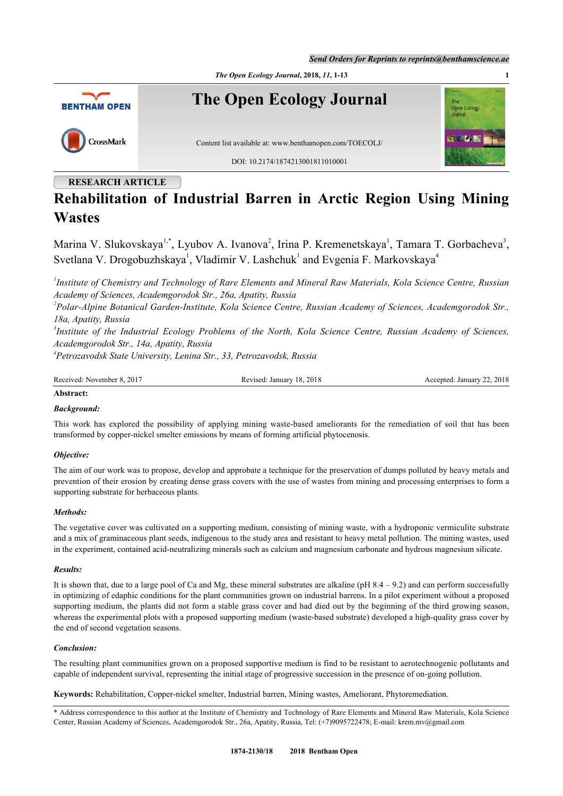*Send Orders for Reprints to reprints@benthamscience.ae*



# **RESEARCH ARTICLE**

# **Rehabilitation of Industrial Barren in Arctic Region Using Mining Wastes**

Marina V. Slukovskaya<sup>[1](#page-0-0),[\\*](#page-0-1)</sup>, Lyubov A. Ivanova<sup>[2](#page-0-2)</sup>, Irina P. Kremenetskaya<sup>1</sup>, Tamara T. Gorbacheva<sup>[3](#page-0-3)</sup>, Svetlana V. Drogobuzhskaya<sup>[1](#page-0-0)</sup>, Vladimir V. Lashchuk<sup>1</sup> and Evgenia F. Markovskaya<sup>[4](#page-0-4)</sup>

<span id="page-0-0"></span>*1 Institute of Chemistry and Technology of Rare Elements and Mineral Raw Materials, Kola Science Centre, Russian Academy of Sciences, Academgorodok Str., 26a, Apatity, Russia*

<span id="page-0-2"></span>*2 Polar-Alpine Botanical Garden-Institute, Kola Science Centre, Russian Academy of Sciences, Academgorodok Str., 18a, Apatity, Russia*

<span id="page-0-3"></span>*3 Institute of the Industrial Ecology Problems of the North, Kola Science Centre, Russian Academy of Sciences, Academgorodok Str., 14a, Apatity, Russia*

<span id="page-0-4"></span>*4 Petrozavodsk State University, Lenina Str., 33, Petrozavodsk, Russia*

| Received: November 8, 2017 | Revised: January 18, 2018 | Accepted: January 22, 2018 |
|----------------------------|---------------------------|----------------------------|
|                            |                           |                            |

# **Abstract:**

# *Background:*

This work has explored the possibility of applying mining waste-based ameliorants for the remediation of soil that has been transformed by copper-nickel smelter emissions by means of forming artificial phytocenosis.

# *Objective:*

The aim of our work was to propose, develop and approbate a technique for the preservation of dumps polluted by heavy metals and prevention of their erosion by creating dense grass covers with the use of wastes from mining and processing enterprises to form a supporting substrate for herbaceous plants.

# *Methods:*

The vegetative cover was cultivated on a supporting medium, consisting of mining waste, with a hydroponic vermiculite substrate and a mix of graminaceous plant seeds, indigenous to the study area and resistant to heavy metal pollution. The mining wastes, used in the experiment, contained acid-neutralizing minerals such as calcium and magnesium carbonate and hydrous magnesium silicate.

# *Results:*

It is shown that, due to a large pool of Ca and Mg, these mineral substrates are alkaline (pH  $8.4 - 9.2$ ) and can perform successfully in optimizing of edaphic conditions for the plant communities grown on industrial barrens. In a pilot experiment without a proposed supporting medium, the plants did not form a stable grass cover and had died out by the beginning of the third growing season, whereas the experimental plots with a proposed supporting medium (waste-based substrate) developed a high-quality grass cover by the end of second vegetation seasons.

# *Conclusion:*

The resulting plant communities grown on a proposed supportive medium is find to be resistant to aerotechnogenic pollutants and capable of independent survival, representing the initial stage of progressive succession in the presence of on-going pollution.

**Keywords:** Rehabilitation, Copper-nickel smelter, Industrial barren, Mining wastes, Ameliorant, Phytoremediation.

<span id="page-0-1"></span><sup>\*</sup> Address correspondence to this author at the Institute of Chemistry and Technology of Rare Elements and Mineral Raw Materials, Kola Science Center, Russian Academy of Sciences, Academgorodok Str., 26a, Apatity, Russia, Tel: (+7)9095722478; E-mail: [krem.mv@gmail.com](mailto:krem.mv@gmail.com)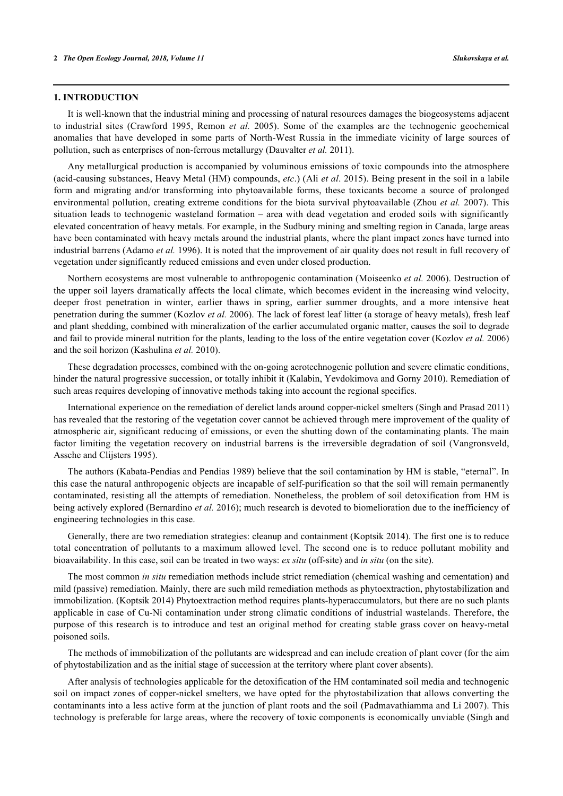## **1. INTRODUCTION**

It is well-known that the industrial mining and processing of natural resources damages the biogeosystems adjacent to industrial sites([Crawford 1995,](#page-10-0) [Remon](#page-10-1) *[et al.](#page-10-1)* [2005](#page-10-1)). Some of the examples are the technogenic geochemical anomalies that have developed in some parts of North-West Russia in the immediate vicinity of large sources of pollution, such as enterprises of non-ferrous metallurgy [\(Dauvalter](#page-10-2) *[et al.](#page-10-2)* [2011\)](#page-10-2).

Any metallurgical production is accompanied by voluminous emissions of toxic compounds into the atmosphere (acid-causing substances, Heavy Metal (HM) compounds, *etc*.) ([Ali](#page-10-3) *[et al](#page-10-3)*[. 2015](#page-10-3)). Being present in the soil in a labile form and migrating and/or transforming into phytoavailable forms, these toxicants become a source of prolonged environmental pollution, creating extreme conditions for the biota survival phytoavailable ([Zhou](#page-10-2) *[et al.](#page-10-2)* [2007\)](#page-10-2). This situation leads to technogenic wasteland formation – area with dead vegetation and eroded soils with significantly elevated concentration of heavy metals. For example, in the Sudbury mining and smelting region in Canada, large areas have been contaminated with heavy metals around the industrial plants, where the plant impact zones have turned into industrial barrens ([Adamo](#page-10-4) *[et al.](#page-10-4)* [1996](#page-10-4)). It is noted that the improvement of air quality does not result in full recovery of vegetation under significantly reduced emissions and even under closed production.

Northern ecosystems are most vulnerable to anthropogenic contamination ([Moiseenko](#page-10-5) *[et al.](#page-10-5)* [2006](#page-10-5)). Destruction of the upper soil layers dramatically affects the local climate, which becomes evident in the increasing wind velocity, deeper frost penetration in winter, earlier thaws in spring, earlier summer droughts, and a more intensive heat penetration during the summer [\(Kozlov](#page-11-0) *[et al.](#page-11-0)* [2006\)](#page-11-0). The lack of forest leaf litter (a storage of heavy metals), fresh leaf and plant shedding, combined with mineralization of the earlier accumulated organic matter, causes the soil to degrade and fail to provide mineral nutrition for the plants, leading to the loss of the entire vegetation cover [\(Kozlov](#page-11-0) *[et al.](#page-11-0)* [2006](#page-11-0)) and the soil horizon ([Kashulina](#page-11-1) *[et al.](#page-11-1)* [2010](#page-11-1)).

These degradation processes, combined with the on-going aerotechnogenic pollution and severe climatic conditions, hinder the natural progressive succession, or totally inhibit it [\(Kalabin, Yevdokimova and Gorny 2010\)](#page-11-2). Remediation of such areas requires developing of innovative methods taking into account the regional specifics.

International experience on the remediation of derelict lands around copper-nickel smelters [\(Singh and Prasad 2011](#page-11-3)) has revealed that the restoring of the vegetation cover cannot be achieved through mere improvement of the quality of atmospheric air, significant reducing of emissions, or even the shutting down of the contaminating plants. The main factor limiting the vegetation recovery on industrial barrens is the irreversible degradation of soil([Vangronsveld,](#page-11-4) [Assche and Clijsters 1995\)](#page-11-4).

The authors ([Kabata-Pendias and Pendias 1989\)](#page-11-5) believe that the soil contamination by HM is stable, "eternal". In this case the natural anthropogenic objects are incapable of self-purification so that the soil will remain permanently contaminated, resisting all the attempts of remediation. Nonetheless, the problem of soil detoxification from HM is being actively explored ([Bernardino](#page--1-0) *[et al.](#page--1-0)* [2016](#page--1-0)); much research is devoted to biomelioration due to the inefficiency of engineering technologies in this case.

Generally, there are two remediation strategies: cleanup and containment ([Koptsik 2014\)](#page-11-6). The first one is to reduce total concentration of pollutants to a maximum allowed level. The second one is to reduce pollutant mobility and bioavailability. In this case, soil can be treated in two ways: *ex situ* (off-site) and *in situ* (on the site).

The most common *in situ* remediation methods include strict remediation (chemical washing and cementation) and mild (passive) remediation. Mainly, there are such mild remediation methods as phytoextraction, phytostabilization and immobilization. [\(Koptsik 2014\)](#page-10-3) Phytoextraction method requires plants-hyperaccumulators, but there are no such plants applicable in case of Cu-Ni contamination under strong climatic conditions of industrial wastelands. Therefore, the purpose of this research is to introduce and test an original method for creating stable grass cover on heavy-metal poisoned soils.

The methods of immobilization of the pollutants are widespread and can include creation of plant cover (for the aim of phytostabilization and as the initial stage of succession at the territory where plant cover absents).

After analysis of technologies applicable for the detoxification of the HM contaminated soil media and technogenic soil on impact zones of copper-nickel smelters, we have opted for the phytostabilization that allows converting the contaminants into a less active form at the junction of plant roots and the soil ([Padmavathiamma and Li 2007](#page-11-7)). This technology is preferable for large areas, where the recovery of toxic components is economically unviable ([Singh and](#page-11-8)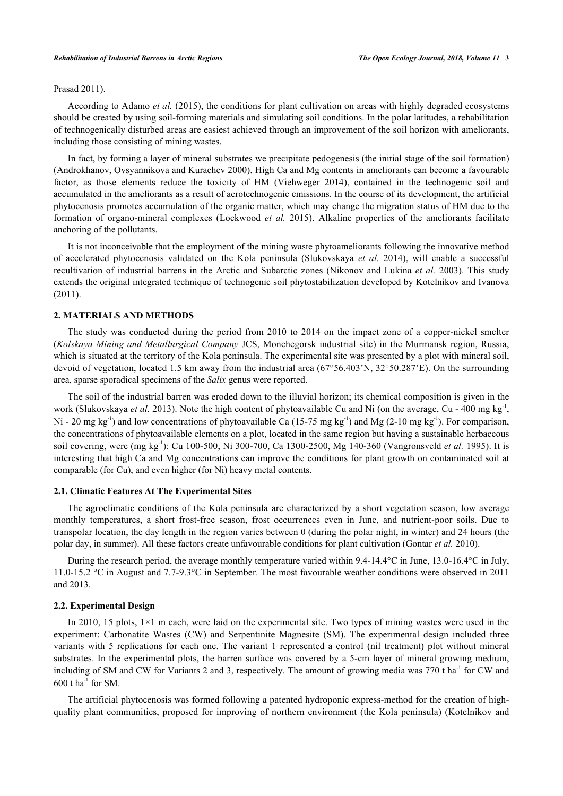## [Prasad 2011\)](#page-11-8).

According to [Adamo](#page-11-3) *[et al.](#page-11-3)* [\(2015\),](#page-11-3) the conditions for plant cultivation on areas with highly degraded ecosystems should be created by using soil-forming materials and simulating soil conditions. In the polar latitudes, a rehabilitation of technogenically disturbed areas are easiest achieved through an improvement of the soil horizon with ameliorants, including those consisting of mining wastes.

In fact, by forming a layer of mineral substrates we precipitate pedogenesis (the initial stage of the soil formation) [\(Androkhanov, Ovsyannikova and Kurachev 2000](#page-11-9)). High Ca and Mg contents in ameliorants can become a favourable factor, as those elements reduce the toxicity of HM([Viehweger 2014\)](#page-11-3), contained in the technogenic soil and accumulated in the ameliorants as a result of aerotechnogenic emissions. In the course of its development, the artificial phytocenosis promotes accumulation of the organic matter, which may change the migration status of HM due to the formation of organo-mineral complexes [\(Lockwood](#page-11-10) *[et al.](#page-11-10)* [2015\)](#page-11-10). Alkaline properties of the ameliorants facilitate anchoring of the pollutants.

It is not inconceivable that the employment of the mining waste phytoameliorants following the innovative method of accelerated phytocenosis validated on the Kola peninsula [\(Slukovskaya](#page-11-11) *[et al.](#page-11-11)* [2014\)](#page-11-11), will enable a successful recultivation of industrial barrens in the Arctic and Subarctic zones ([Nikonov and Lukina](#page-11-11) *[et al.](#page-11-11)* [2003\)](#page-11-11). This study extends the original integrated technique of technogenic soil phytostabilization developed by [Kotelnikov and Ivanova](#page-11-4) [\(2011](#page-11-4)).

# **2. MATERIALS AND METHODS**

The study was conducted during the period from 2010 to 2014 on the impact zone of a copper-nickel smelter (*Kolskaya Mining and Metallurgical Company* JCS, Monchegorsk industrial site) in the Murmansk region, Russia, which is situated at the territory of the Kola peninsula. The experimental site was presented by a plot with mineral soil, devoid of vegetation, located 1.5 km away from the industrial area (67°56.403'N, 32°50.287'E). On the surrounding area, sparse sporadical specimens of the *Salix* genus were reported.

The soil of the industrial barren was eroded down to the illuvial horizon; its chemical composition is given in the work ([Slukovskaya](#page-11-11) *[et al.](#page-11-11)* [2013\)](#page-11-11). Note the high content of phytoavailable Cu and Ni (on the average, Cu - 400 mg kg<sup>-1</sup>, Ni - 20 mg kg<sup>-1</sup>) and low concentrations of phytoavailable Ca (15-75 mg kg<sup>-1</sup>) and Mg (2-10 mg kg<sup>-1</sup>). For comparison, the concentrations of phytoavailable elements on a plot, located in the same region but having a sustainable herbaceous soil covering, were (mg kg-1): Cu 100-500, Ni 300-700, Ca 1300-2500, Mg 140-360 ([Vangronsveld](#page-11-12) *[et al.](#page-11-12)* [1995\)](#page-11-12). It is interesting that high Ca and Mg concentrations can improve the conditions for plant growth on contaminated soil at comparable (for Cu), and even higher (for Ni) heavy metal contents.

#### **2.1. Climatic Features At The Experimental Sites**

The agroclimatic conditions of the Kola peninsula are characterized by a short vegetation season, low average monthly temperatures, a short frost-free season, frost occurrences even in June, and nutrient-poor soils. Due to transpolar location, the day length in the region varies between 0 (during the polar night, in winter) and 24 hours (the polar day, in summer). All these factors create unfavourable conditions for plant cultivation [\(Gontar](#page-11-13) *[et al.](#page-11-13)* [2010\)](#page-11-13).

During the research period, the average monthly temperature varied within 9.4-14.4°C in June, 13.0-16.4°C in July, 11.0-15.2 °C in August and 7.7-9.3°C in September. The most favourable weather conditions were observed in 2011 and 2013.

## **2.2. Experimental Design**

In 2010, 15 plots, 1×1 m each, were laid on the experimental site. Two types of mining wastes were used in the experiment: Carbonatite Wastes (CW) and Serpentinite Magnesite (SM). The experimental design included three variants with 5 replications for each one. The variant 1 represented a control (nil treatment) plot without mineral substrates. In the experimental plots, the barren surface was covered by a 5-cm layer of mineral growing medium, including of SM and CW for Variants 2 and 3, respectively. The amount of growing media was 770 t ha<sup>-1</sup> for CW and 600 t  $ha^{-1}$  for SM.

The artificial phytocenosis was formed following a patented hydroponic express-method for the creation of highquality plant communities, proposed for improving of northern environment (the Kola peninsula) [\(Kotelnikov and](#page-11-11)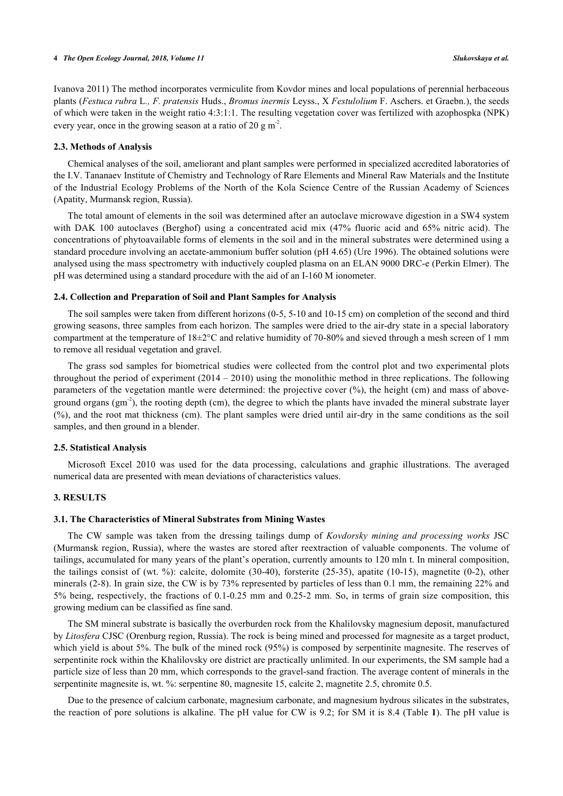[Ivanova 2011\)](#page-11-11) The method incorporates vermiculite from Kovdor mines and local populations of perennial herbaceous plants (*Festuca rubra* L*., F. pratensis* Huds., *Bromus inermis* Leyss., X *Festulolium* F. Aschers. et Graebn.), the seeds of which were taken in the weight ratio 4:3:1:1. The resulting vegetation cover was fertilized with azophospka (NPK) every year, once in the growing season at a ratio of 20 g m<sup>-2</sup>.

#### **2.3. Methods of Analysis**

Chemical analyses of the soil, ameliorant and plant samples were performed in specialized accredited laboratories of the I.V. Tananaev Institute of Chemistry and Technology of Rare Elements and Mineral Raw Materials and the Institute of the Industrial Ecology Problems of the North of the Kola Science Centre of the Russian Academy of Sciences (Apatity, Murmansk region, Russia).

The total amount of elements in the soil was determined after an autoclave microwave digestion in a SW4 system with DAK 100 autoclaves (Berghof) using a concentrated acid mix (47% fluoric acid and 65% nitric acid). The concentrations of phytoavailable forms of elements in the soil and in the mineral substrates were determined using a standard procedure involving an acetate-ammonium buffer solution (pH 4.65) ([Ure 1996\)](#page-11-14). The obtained solutions were analysed using the mass spectrometry with inductively coupled plasma on an ELAN 9000 DRC-e (Perkin Elmer). The pH was determined using a standard procedure with the aid of an I-160 M ionometer.

# **2.4. Collection and Preparation of Soil and Plant Samples for Analysis**

The soil samples were taken from different horizons (0-5, 5-10 and 10-15 cm) on completion of the second and third growing seasons, three samples from each horizon. The samples were dried to the air-dry state in a special laboratory compartment at the temperature of 18±2°C and relative humidity of 70-80% and sieved through a mesh screen of 1 mm to remove all residual vegetation and gravel.

The grass sod samples for biometrical studies were collected from the control plot and two experimental plots throughout the period of experiment (2014 – 2010) using the monolithic method in three replications. The following parameters of the vegetation mantle were determined: the projective cover (%), the height (cm) and mass of aboveground organs  $(gm<sup>-2</sup>)$ , the rooting depth (cm), the degree to which the plants have invaded the mineral substrate layer (%), and the root mat thickness (cm). The plant samples were dried until air-dry in the same conditions as the soil samples, and then ground in a blender.

### **2.5. Statistical Analysis**

Microsoft Excel 2010 was used for the data processing, calculations and graphic illustrations. The averaged numerical data are presented with mean deviations of characteristics values.

# **3. RESULTS**

#### **3.1. The Characteristics of Mineral Substrates from Mining Wastes**

The CW sample was taken from the dressing tailings dump of *Kovdorsky mining and processing works* JSC (Murmansk region, Russia), where the wastes are stored after reextraction of valuable components. The volume of tailings, accumulated for many years of the plant's operation, currently amounts to 120 mln t. In mineral composition, the tailings consist of (wt. %): calcite, dolomite (30-40), forsterite (25-35), apatite (10-15), magnetite (0-2), other minerals (2-8). In grain size, the CW is by 73% represented by particles of less than 0.1 mm, the remaining 22% and 5% being, respectively, the fractions of 0.1-0.25 mm and 0.25-2 mm. So, in terms of grain size composition, this growing medium can be classified as fine sand.

The SM mineral substrate is basically the overburden rock from the Khalilovsky magnesium deposit, manufactured by *Litosfera* CJSC (Orenburg region, Russia). The rock is being mined and processed for magnesite as a target product, which yield is about 5%. The bulk of the mined rock (95%) is composed by serpentinite magnesite. The reserves of serpentinite rock within the Khalilovsky ore district are practically unlimited. In our experiments, the SM sample had a particle size of less than 20 mm, which corresponds to the gravel-sand fraction. The average content of minerals in the serpentinite magnesite is, wt. %: serpentine 80, magnesite 15, calcite 2, magnetite 2.5, chromite 0.5.

Due to the presence of calcium carbonate, magnesium carbonate, and magnesium hydrous silicates in the substrates, the reaction of pore solutions is alkaline. The pH value for CW is 9.2; for SM it is 8.4 (Table **[1](#page-4-0)**). The pH value is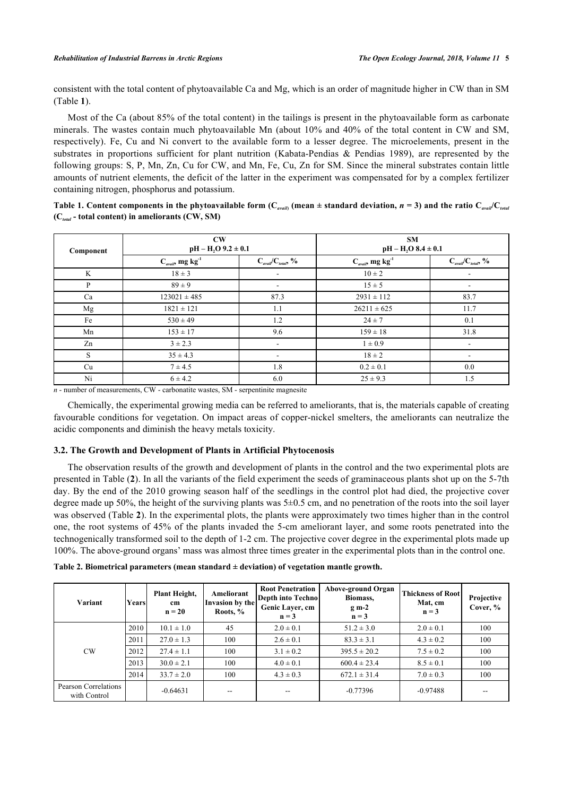consistent with the total content of phytoavailable Ca and Mg, which is an order of magnitude higher in CW than in SM (Table **[1](#page-4-0)**).

Most of the Ca (about 85% of the total content) in the tailings is present in the phytoavailable form as carbonate minerals. The wastes contain much phytoavailable Mn (about 10% and 40% of the total content in CW and SM, respectively). Fe, Cu and Ni convert to the available form to a lesser degree. The microelements, present in the substrates in proportions sufficient for plant nutrition [\(Kabata-Pendias & Pendias 1989](#page-11-14)), are represented by the following groups: S, P, Mn, Zn, Cu for CW, and Mn, Fe, Cu, Zn for SM. Since the mineral substrates contain little amounts of nutrient elements, the deficit of the latter in the experiment was compensated for by a complex fertilizer containing nitrogen, phosphorus and potassium.

<span id="page-4-0"></span>Table 1. Content components in the phytoavailable form ( $C_{\it avail}$  (mean  $\pm$  standard deviation,  $n=3$ ) and the ratio  $C_{\it avail}C_{\it total}$ **(С***total* **- total content) in ameliorants (CW, SM)**

| Component | $\mathbf{C}\mathbf{W}$<br>$pH - H2 + 0.1$  |                                             | <b>SM</b><br>$pH - H2O$ 8.4 $\pm$ 0.1    |                                              |  |
|-----------|--------------------------------------------|---------------------------------------------|------------------------------------------|----------------------------------------------|--|
|           | $C_{\textit{avail}}$ , mg kg <sup>-1</sup> | $C_{\textit{avail}}/C_{\textit{total}}$ , % | $C_{\text{avail}}$ , mg kg <sup>-1</sup> | $C_{\alpha\text{vail}}/C_{\text{total}}$ , % |  |
| K         | $18 \pm 3$                                 | $\overline{\phantom{a}}$                    | $10 \pm 2$                               |                                              |  |
| P         | $89 \pm 9$                                 | ٠                                           | $15 \pm 5$                               | $\overline{\phantom{a}}$                     |  |
| Ca        | $123021 \pm 485$                           | 87.3                                        | $2931 \pm 112$                           | 83.7                                         |  |
| Mg        | $1821 \pm 121$                             | 1.1                                         | $26211 \pm 625$                          | 11.7                                         |  |
| Fe        | $530 \pm 49$                               | 1.2                                         | $24 \pm 7$                               | 0.1                                          |  |
| Mn        | $153 \pm 17$                               | 9.6                                         | $159 \pm 18$                             | 31.8                                         |  |
| Zn        | $3 \pm 2.3$                                | $\overline{\phantom{a}}$                    | $1 \pm 0.9$                              |                                              |  |
| S         | $35 \pm 4.3$                               | $\overline{\phantom{a}}$                    | $18 \pm 2$                               |                                              |  |
| Cu        | $7 \pm 4.5$                                | 1.8                                         | $0.2 \pm 0.1$                            | $0.0\,$                                      |  |
| Ni        | $6 \pm 4.2$                                | 6.0                                         | $25 \pm 9.3$                             | 1.5                                          |  |

*n* - number of measurements, CW - carbonatite wastes, SM - serpentinite magnesite

Chemically, the experimental growing media can be referred to ameliorants, that is, the materials capable of creating favourable conditions for vegetation. On impact areas of copper-nickel smelters, the ameliorants can neutralize the acidic components and diminish the heavy metals toxicity.

# **3.2. The Growth and Development of Plants in Artificial Phytocenosis**

The observation results of the growth and development of plants in the control and the two experimental plots are presented in Table (**[2](#page-4-1)**). In all the variants of the field experiment the seeds of graminaceous plants shot up on the 5-7th day. By the end of the 2010 growing season half of the seedlings in the control plot had died, the projective cover degree made up 50%, the height of the surviving plants was  $5\pm0.5$  cm, and no penetration of the roots into the soil layer was observed (Table **[2](#page-4-1)**). In the experimental plots, the plants were approximately two times higher than in the control one, the root systems of 45% of the plants invaded the 5-cm ameliorant layer, and some roots penetrated into the technogenically transformed soil to the depth of 1-2 cm. The projective cover degree in the experimental plots made up 100%. The above-ground organs' mass was almost three times greater in the experimental plots than in the control one.

| Variant                              | Yearsl | Plant Height,<br>cm<br>$n = 20$ | Ameliorant<br>Invasion by the<br>Roots, % | <b>Root Penetration</b><br>Depth into Techno<br>Genic Layer, cm<br>$n = 3$ | Above-ground Organ<br>Biomass,<br>$g m-2$<br>$n = 3$ | Thickness of Root<br>Mat, cm<br>$n = 3$ | Projective<br>Cover, % |
|--------------------------------------|--------|---------------------------------|-------------------------------------------|----------------------------------------------------------------------------|------------------------------------------------------|-----------------------------------------|------------------------|
|                                      | 2010   | $10.1 \pm 1.0$                  | 45                                        | $2.0 \pm 0.1$                                                              | $51.2 \pm 3.0$                                       | $2.0 \pm 0.1$                           | 100                    |
| CW                                   | 2011   | $27.0 \pm 1.3$                  | 100                                       | $2.6 \pm 0.1$                                                              | $83.3 \pm 3.1$                                       | $4.3 \pm 0.2$                           | 100                    |
|                                      | 2012   | $27.4 \pm 1.1$                  | 100                                       | $3.1 \pm 0.2$                                                              | $395.5 \pm 20.2$                                     | $7.5 \pm 0.2$                           | 100                    |
|                                      | 2013   | $30.0 \pm 2.1$                  | 100                                       | $4.0 \pm 0.1$                                                              | $600.4 \pm 23.4$                                     | $8.5 \pm 0.1$                           | 100                    |
|                                      | 2014   | $33.7 \pm 2.0$                  | 100                                       | $4.3 \pm 0.3$                                                              | $672.1 \pm 31.4$                                     | $7.0 \pm 0.3$                           | 100                    |
| Pearson Correlations<br>with Control |        | $-0.64631$                      | --                                        | $-$                                                                        | $-0.77396$                                           | $-0.97488$                              |                        |

<span id="page-4-1"></span>**Table 2. Biometrical parameters (mean standard ± deviation) of vegetation mantle growth.**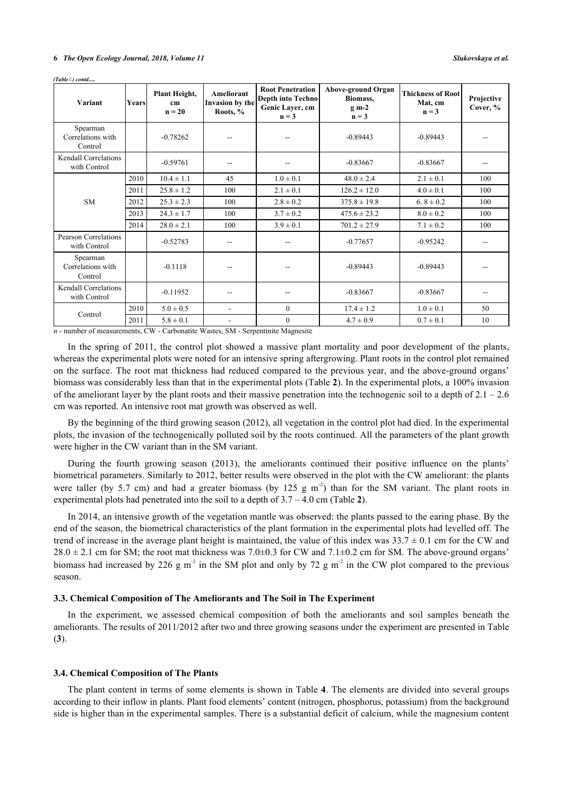| Variant                                     | Years | Plant Height,<br>cm<br>$n = 20$ | <b>Ameliorant</b><br>Invasion by the<br>Roots, % | <b>Root Penetration</b><br><b>Depth into Techno</b><br>Genic Layer, cm<br>$n = 3$ | Above-ground Organ<br>Biomass,<br>$g$ m-2<br>$n = 3$ | <b>Thickness of Root</b><br>Mat, cm<br>$n = 3$ | Projective<br>Cover, % |
|---------------------------------------------|-------|---------------------------------|--------------------------------------------------|-----------------------------------------------------------------------------------|------------------------------------------------------|------------------------------------------------|------------------------|
| Spearman<br>Correlations with<br>Control    |       | $-0.78262$                      |                                                  | --                                                                                | $-0.89443$                                           | $-0.89443$                                     |                        |
| <b>Kendall Correlations</b><br>with Control |       | $-0.59761$                      | --                                               | --                                                                                | $-0.83667$                                           | $-0.83667$                                     |                        |
|                                             | 2010  | $10.4 \pm 1.1$                  | 45                                               | $1.0 \pm 0.1$                                                                     | $48.0 \pm 2.4$                                       | $2.1 \pm 0.1$                                  | 100                    |
|                                             | 2011  | $25.8 \pm 1.2$                  | 100                                              | $2.1 \pm 0.1$                                                                     | $126.2 \pm 12.0$                                     | $4.0 \pm 0.1$                                  | 100                    |
| <b>SM</b>                                   | 2012  | $25.3 \pm 2.3$                  | 100                                              | $2.8 \pm 0.2$                                                                     | $375.8 \pm 19.8$                                     | 6.8 $\pm$ 0.2                                  | 100                    |
|                                             | 2013  | $24.3 \pm 1.7$                  | 100                                              | $3.7 \pm 0.2$                                                                     | $475.6 \pm 23.2$                                     | $8.0 \pm 0.2$                                  | 100                    |
|                                             | 2014  | $28.0 \pm 2.1$                  | 100                                              | $3.9 \pm 0.1$                                                                     | $701.2 \pm 27.9$                                     | $7.1 \pm 0.2$                                  | 100                    |
| <b>Pearson Correlations</b><br>with Control |       | $-0.52783$                      |                                                  |                                                                                   | $-0.77657$                                           | $-0.95242$                                     |                        |
| Spearman<br>Correlations with<br>Control    |       | $-0.1118$                       |                                                  |                                                                                   | $-0.89443$                                           | $-0.89443$                                     |                        |
| <b>Kendall Correlations</b><br>with Control |       | $-0.11952$                      | --                                               | --                                                                                | $-0.83667$                                           | $-0.83667$                                     |                        |
| Control                                     | 2010  | $5.0 \pm 0.5$                   | $\blacksquare$                                   | $\mathbf{0}$                                                                      | $17.4 \pm 1.2$                                       | $1.0 \pm 0.1$                                  | 50                     |
|                                             | 2011  | $5.8 \pm 0.1$                   | $\overline{\phantom{a}}$                         | $\mathbf{0}$                                                                      | $4.7 \pm 0.9$                                        | $0.7 \pm 0.1$                                  | 10                     |

*(Table ) contd.....*

*n* - number of measurements, CW - Carbonatite Wastes, SM - Serpentinite Magnesite

In the spring of 2011, the control plot showed a massive plant mortality and poor development of the plants, whereas the experimental plots were noted for an intensive spring aftergrowing. Plant roots in the control plot remained on the surface. The root mat thickness had reduced compared to the previous year, and the above-ground organs' biomass was considerably less than that in the experimental plots (Table **[2](#page-4-1)**). In the experimental plots, a 100% invasion of the ameliorant layer by the plant roots and their massive penetration into the technogenic soil to a depth of  $2.1 - 2.6$ cm was reported. An intensive root mat growth was observed as well.

By the beginning of the third growing season (2012), all vegetation in the control plot had died. In the experimental plots, the invasion of the technogenically polluted soil by the roots continued. All the parameters of the plant growth were higher in the CW variant than in the SM variant.

During the fourth growing season (2013), the ameliorants continued their positive influence on the plants' biometrical parameters. Similarly to 2012, better results were observed in the plot with the CW ameliorant: the plants were taller (by 5.7 cm) and had a greater biomass (by 125 g m<sup>-2</sup>) than for the SM variant. The plant roots in experimental plots had penetrated into the soil to a depth of 3.7 – 4.0 cm (Table **[2](#page-4-1)**).

In 2014, an intensive growth of the vegetation mantle was observed: the plants passed to the earing phase. By the end of the season, the biometrical characteristics of the plant formation in the experimental plots had levelled off. The trend of increase in the average plant height is maintained, the value of this index was  $33.7 \pm 0.1$  cm for the CW and  $28.0 \pm 2.1$  cm for SM; the root mat thickness was 7.0 $\pm$ 0.3 for CW and 7.1 $\pm$ 0.2 cm for SM. The above-ground organs' biomass had increased by 226 g m<sup>-2</sup> in the SM plot and only by 72 g m<sup>-2</sup> in the CW plot compared to the previous season.

## **3.3. Chemical Composition of The Ameliorants and The Soil in The Experiment**

In the experiment, we assessed chemical composition of both the ameliorants and soil samples beneath the ameliorants. The results of 2011/2012 after two and three growing seasons under the experiment are presented in Table (**[3](#page-6-0)**).

#### **3.4. Chemical Composition of The Plants**

The plant content in terms of some elements is shown in Table **[4](#page-6-1)**. The elements are divided into several groups according to their inflow in plants. Plant food elements' content (nitrogen, phosphorus, potassium) from the background side is higher than in the experimental samples. There is a substantial deficit of calcium, while the magnesium content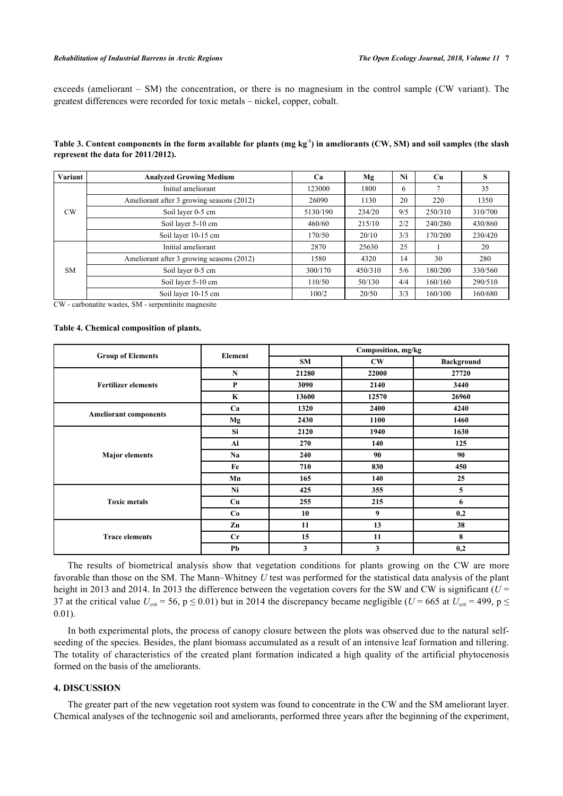## *Rehabilitation of Industrial Barrens in Arctic Regions The Open Ecology Journal, 2018, Volume 11* **7**

exceeds (ameliorant – SM) the concentration, or there is no magnesium in the control sample (CW variant). The greatest differences were recorded for toxic metals – nickel, copper, cobalt.

<span id="page-6-0"></span>**Table 3. Content components in the form available for plants (mg kg-1) in ameliorants (CW, SM) and soil samples (the slash represent the data for 2011/2012).**

| Variant   | <b>Analyzed Growing Medium</b>            | Ca       | Mg      | Ni  | <b>Cu</b> | S       |
|-----------|-------------------------------------------|----------|---------|-----|-----------|---------|
| <b>CW</b> | Initial ameliorant                        | 123000   | 1800    | 6   |           | 35      |
|           | Ameliorant after 3 growing seasons (2012) | 26090    | 1130    | 20  | 220       | 1350    |
|           | Soil layer 0-5 cm                         | 5130/190 | 234/20  | 9/5 | 250/310   | 310/700 |
|           | Soil layer 5-10 cm                        | 460/60   | 215/10  | 2/2 | 240/280   | 430/860 |
|           | Soil layer 10-15 cm                       | 170/50   | 20/10   | 3/3 | 170/200   | 230/420 |
| <b>SM</b> | Initial ameliorant                        | 2870     | 25630   | 25  |           | 20      |
|           | Ameliorant after 3 growing seasons (2012) | 580      | 4320    | 14  | 30        | 280     |
|           | Soil layer 0-5 cm                         | 300/170  | 450/310 | 5/6 | 180/200   | 330/560 |
|           | Soil layer 5-10 cm                        | 110/50   | 50/130  | 4/4 | 160/160   | 290/510 |
|           | Soil layer 10-15 cm                       | 100/2    | 20/50   | 3/3 | 160/100   | 160/680 |

CW - carbonatite wastes, SM - serpentinite magnesite

#### <span id="page-6-1"></span>**Table 4. Chemical composition of plants.**

| <b>Group of Elements</b>     | Element | Composition, mg/kg |                        |                   |  |
|------------------------------|---------|--------------------|------------------------|-------------------|--|
|                              |         | <b>SM</b>          | $\mathbf{C}\mathbf{W}$ | <b>Background</b> |  |
|                              | N       | 21280              | 22000                  | 27720             |  |
| <b>Fertilizer elements</b>   | P       | 3090               | 2140                   | 3440              |  |
|                              | K       | 13600              | 12570                  | 26960             |  |
|                              | Ca      | 1320               | 2400                   | 4240              |  |
| <b>Ameliorant components</b> | Mg      | 2430               | 1100                   | 1460              |  |
|                              | Si      | 2120               | 1940                   | 1630              |  |
|                              | Al      | 270                | 140                    | 125               |  |
| <b>Major</b> elements        | Na      | 240                | 90                     | 90                |  |
|                              | Fe      | 710                | 830                    | 450               |  |
|                              | Mn      | 165                | 140                    | 25                |  |
|                              | Ni      | 425                | 355                    | 5                 |  |
| <b>Toxic metals</b>          | Cu      | 255                | 215                    | 6                 |  |
|                              | Co      | 10                 | 9                      | 0,2               |  |
|                              | Zn      | 11                 | 13                     | 38                |  |
| <b>Trace elements</b>        | Cr      | 15                 | 11                     | 8                 |  |
|                              | Pb      | 3                  | 3                      | 0,2               |  |

The results of biometrical analysis show that vegetation conditions for plants growing on the CW are more favorable than those on the SM. The Mann–Whitney *U* test was performed for the statistical data analysis of the plant height in 2013 and 2014. In 2013 the difference between the vegetation covers for the SW and CW is significant ( $U =$ 37 at the critical value  $U_{\text{crit}}$  = 56, p  $\leq$  0.01) but in 2014 the discrepancy became negligible (*U* = 665 at  $U_{\text{crit}}$  = 499, p  $\leq$ 0.01).

In both experimental plots, the process of canopy closure between the plots was observed due to the natural selfseeding of the species. Besides, the plant biomass accumulated as a result of an intensive leaf formation and tillering. The totality of characteristics of the created plant formation indicated a high quality of the artificial phytocenosis formed on the basis of the ameliorants.

# **4. DISCUSSION**

The greater part of the new vegetation root system was found to concentrate in the CW and the SM ameliorant layer. Chemical analyses of the technogenic soil and ameliorants, performed three years after the beginning of the experiment,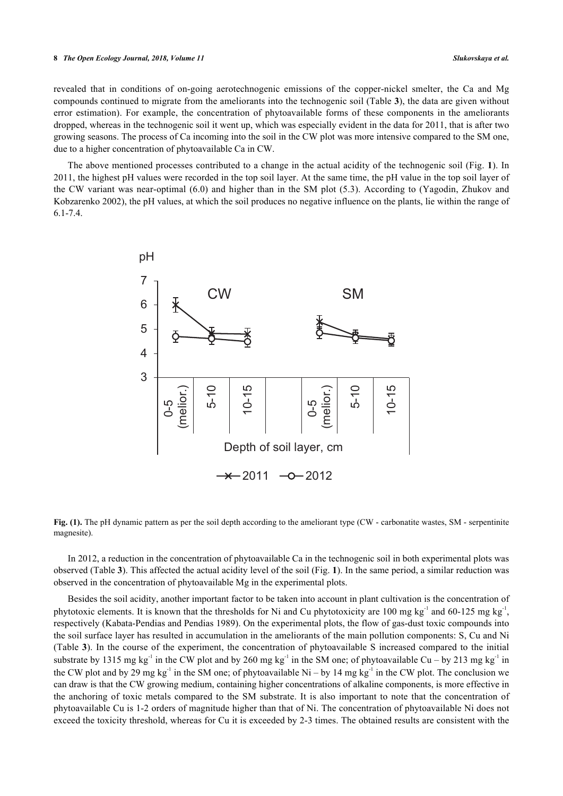#### **8** *The Open Ecology Journal, 2018, Volume 11 Slukovskaya et al.*

revealed that in conditions of on-going aerotechnogenic emissions of the copper-nickel smelter, the Ca and Mg compounds continued to migrate from the ameliorants into the technogenic soil (Table **[3](#page-6-0)**), the data are given without error estimation). For example, the concentration of phytoavailable forms of these components in the ameliorants dropped, whereas in the technogenic soil it went up, which was especially evident in the data for 2011, that is after two growing seasons. The process of Ca incoming into the soil in the CW plot was more intensive compared to the SM one, due to a higher concentration of phytoavailable Ca in CW.

<span id="page-7-0"></span>The above mentioned processes contributed to a change in the actual acidity of the technogenic soil (Fig. **[1](#page-7-0)**). In 2011, the highest pH values were recorded in the top soil layer. At the same time, the pH value in the top soil layer of the CW variant was near-optimal (6.0) and higher than in the SM plot (5.3). According to ([Yagodin, Zhukov and](#page-11-15) [Kobzarenko 2002](#page-11-15)), the pH values, at which the soil produces no negative influence on the plants, lie within the range of 6.1-7.4.



**Fig. (1).** The pH dynamic pattern as per the soil depth according to the ameliorant type (CW - carbonatite wastes, SM - serpentinite magnesite).

In 2012, a reduction in the concentration of phytoavailable Ca in the technogenic soil in both experimental plots was observed (Table **[3](#page-6-0)**). This affected the actual acidity level of the soil (Fig. **[1](#page-7-0)**). In the same period, a similar reduction was observed in the concentration of phytoavailable Mg in the experimental plots.

Besides the soil acidity, another important factor to be taken into account in plant cultivation is the concentration of phytotoxic elements. It is known that the thresholds for Ni and Cu phytotoxicity are 100 mg kg<sup>-1</sup> and 60-125 mg kg<sup>-1</sup>, respectively [\(Kabata-Pendias and Pendias 1989\)](#page-11-5). On the experimental plots, the flow of gas-dust toxic compounds into the soil surface layer has resulted in accumulation in the ameliorants of the main pollution components: S, Cu and Ni (Table **[3](#page-6-0)**). In the course of the experiment, the concentration of phytoavailable S increased compared to the initial substrate by 1315 mg kg<sup>-1</sup> in the CW plot and by 260 mg kg<sup>-1</sup> in the SM one; of phytoavailable Cu – by 213 mg kg<sup>-1</sup> in the CW plot and by 29 mg kg<sup>-1</sup> in the SM one; of phytoavailable Ni – by 14 mg kg<sup>-1</sup> in the CW plot. The conclusion we can draw is that the CW growing medium, containing higher concentrations of alkaline components, is more effective in the anchoring of toxic metals compared to the SM substrate. It is also important to note that the concentration of phytoavailable Cu is 1-2 orders of magnitude higher than that of Ni. The concentration of phytoavailable Ni does not exceed the toxicity threshold, whereas for Cu it is exceeded by 2-3 times. The obtained results are consistent with the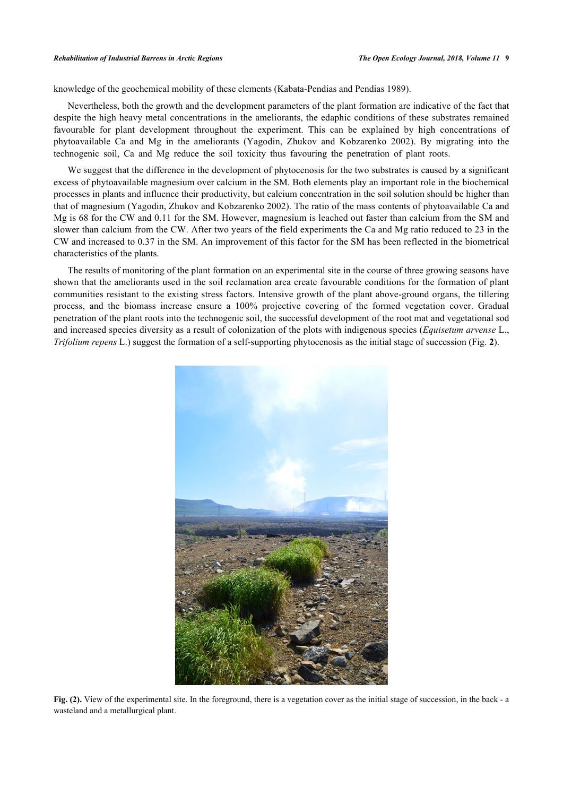#### *Rehabilitation of Industrial Barrens in Arctic Regions The Open Ecology Journal, 2018, Volume 11* **9**

knowledge of the geochemical mobility of these elements [\(Kabata-Pendias and Pendias 1989](#page-11-5)).

Nevertheless, both the growth and the development parameters of the plant formation are indicative of the fact that despite the high heavy metal concentrations in the ameliorants, the edaphic conditions of these substrates remained favourable for plant development throughout the experiment. This can be explained by high concentrations of phytoavailable Ca and Mg in the ameliorants([Yagodin, Zhukov and Kobzarenko 2002](#page-11-15)). By migrating into the technogenic soil, Ca and Mg reduce the soil toxicity thus favouring the penetration of plant roots.

We suggest that the difference in the development of phytocenosis for the two substrates is caused by a significant excess of phytoavailable magnesium over calcium in the SM. Both elements play an important role in the biochemical processes in plants and influence their productivity, but calcium concentration in the soil solution should be higher than that of magnesium ([Yagodin, Zhukov and Kobzarenko 2002](#page-11-15)). The ratio of the mass contents of phytoavailable Ca and Mg is 68 for the CW and 0.11 for the SM. However, magnesium is leached out faster than calcium from the SM and slower than calcium from the CW. After two years of the field experiments the Ca and Mg ratio reduced to 23 in the CW and increased to 0.37 in the SM. An improvement of this factor for the SM has been reflected in the biometrical characteristics of the plants.

The results of monitoring of the plant formation on an experimental site in the course of three growing seasons have shown that the ameliorants used in the soil reclamation area create favourable conditions for the formation of plant communities resistant to the existing stress factors. Intensive growth of the plant above-ground organs, the tillering process, and the biomass increase ensure a 100% projective covering of the formed vegetation cover. Gradual penetration of the plant roots into the technogenic soil, the successful development of the root mat and vegetational sod and increased species diversity as a result of colonization of the plots with indigenous species (*Equisetum arvense* L., *Trifolium repens* L.) suggest the formation of a self-supporting phytocenosis as the initial stage of succession (Fig. **[2](#page-8-0)**).

<span id="page-8-0"></span>

**Fig. (2).** View of the experimental site. In the foreground, there is a vegetation cover as the initial stage of succession, in the back - a wasteland and a metallurgical plant.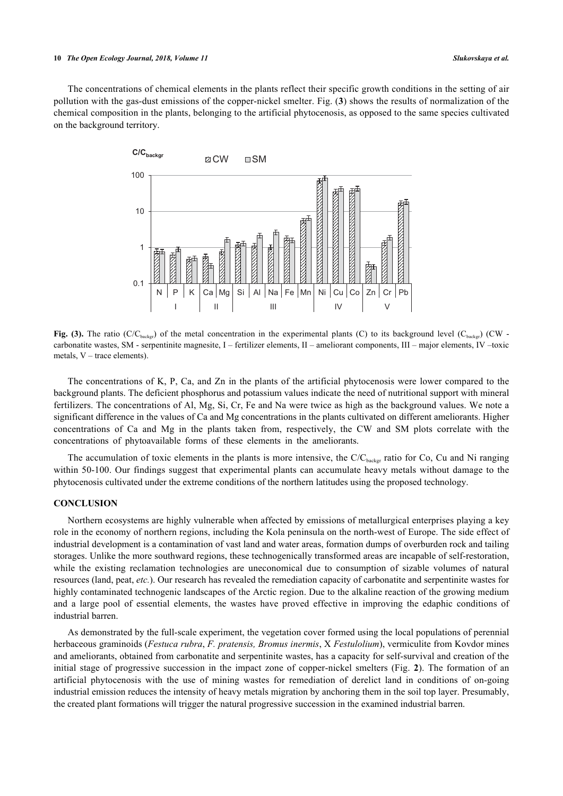#### **10** *The Open Ecology Journal, 2018, Volume 11 Slukovskaya et al.*

<span id="page-9-0"></span>The concentrations of chemical elements in the plants reflect their specific growth conditions in the setting of air pollution with the gas-dust emissions of the copper-nickel smelter. Fig. (**[3](#page-9-0)**) shows the results of normalization of the chemical composition in the plants, belonging to the artificial phytocenosis, as opposed to the same species cultivated on the background territory.



**Fig. (3).** The ratio (C/C<sub>backgr</sub>) of the metal concentration in the experimental plants (C) to its background level (C<sub>backgr</sub>) (CW carbonatite wastes, SM - serpentinite magnesite, I – fertilizer elements, II – ameliorant components, III – major elements, IV –toxic metals, V – trace elements).

The concentrations of K, P, Ca, and Zn in the plants of the artificial phytocenosis were lower compared to the background plants. The deficient phosphorus and potassium values indicate the need of nutritional support with mineral fertilizers. The concentrations of Al, Mg, Si, Cr, Fe and Na were twice as high as the background values. We note a significant difference in the values of Ca and Mg concentrations in the plants cultivated on different ameliorants. Higher concentrations of Ca and Mg in the plants taken from, respectively, the CW and SM plots correlate with the concentrations of phytoavailable forms of these elements in the ameliorants.

The accumulation of toxic elements in the plants is more intensive, the  $C/C_{\text{background}}$  ratio for Co, Cu and Ni ranging within 50-100. Our findings suggest that experimental plants can accumulate heavy metals without damage to the phytocenosis cultivated under the extreme conditions of the northern latitudes using the proposed technology.

## **CONCLUSION**

Northern ecosystems are highly vulnerable when affected by emissions of metallurgical enterprises playing a key role in the economy of northern regions, including the Kola peninsula on the north-west of Europe. The side effect of industrial development is a contamination of vast land and water areas, formation dumps of overburden rock and tailing storages. Unlike the more southward regions, these technogenically transformed areas are incapable of self-restoration, while the existing reclamation technologies are uneconomical due to consumption of sizable volumes of natural resources (land, peat, *etc.*). Our research has revealed the remediation capacity of carbonatite and serpentinite wastes for highly contaminated technogenic landscapes of the Arctic region. Due to the alkaline reaction of the growing medium and a large pool of essential elements, the wastes have proved effective in improving the edaphic conditions of industrial barren.

As demonstrated by the full-scale experiment, the vegetation cover formed using the local populations of perennial herbaceous graminoids (*Festuca rubra*, *F. pratensis, Bromus inermis*, X *Festulolium*), vermiculite from Kovdor mines and ameliorants, obtained from carbonatite and serpentinite wastes, has a capacity for self-survival and creation of the initial stage of progressive succession in the impact zone of copper-nickel smelters (Fig.**2**). The formation of an artificial phytocenosis with the use of mining wastes for remediation of derelict land in conditions of on-going industrial emission reduces the intensity of heavy metals migration by anchoring them in the soil top layer. Presumably, the created plant formations will trigger the natural progressive succession in the examined industrial barren.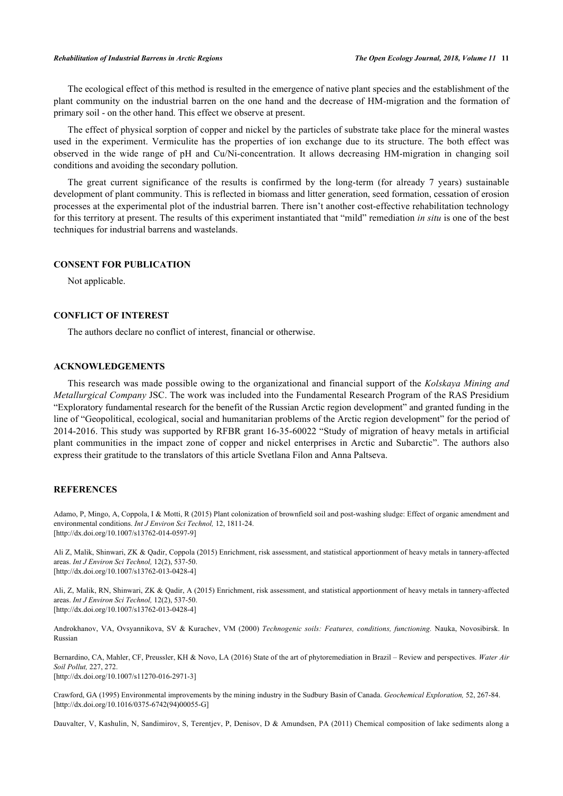The ecological effect of this method is resulted in the emergence of native plant species and the establishment of the plant community on the industrial barren on the one hand and the decrease of HM-migration and the formation of primary soil - on the other hand. This effect we observe at present.

The effect of physical sorption of copper and nickel by the particles of substrate take place for the mineral wastes used in the experiment. Vermiculite has the properties of ion exchange due to its structure. The both effect was observed in the wide range of pH and Cu/Ni-concentration. It allows decreasing HM-migration in changing soil conditions and avoiding the secondary pollution.

The great current significance of the results is confirmed by the long-term (for already 7 years) sustainable development of plant community. This is reflected in biomass and litter generation, seed formation, cessation of erosion processes at the experimental plot of the industrial barren. There isn't another cost-effective rehabilitation technology for this territory at present. The results of this experiment instantiated that "mild" remediation *in situ* is one of the best techniques for industrial barrens and wastelands.

# **CONSENT FOR PUBLICATION**

Not applicable.

# **CONFLICT OF INTEREST**

The authors declare no conflict of interest, financial or otherwise.

# **ACKNOWLEDGEMENTS**

This research was made possible owing to the organizational and financial support of the *Kolskaya Mining and Metallurgical Company* JSC. The work was included into the Fundamental Research Program of the RAS Presidium "Exploratory fundamental research for the benefit of the Russian Arctic region development" and granted funding in the line of "Geopolitical, ecological, social and humanitarian problems of the Arctic region development" for the period of 2014-2016. This study was supported by RFBR grant 16-35-60022 "Study of migration of heavy metals in artificial plant communities in the impact zone of copper and nickel enterprises in Arctic and Subarctic". The authors also express their gratitude to the translators of this article Svetlana Filon and Anna Paltseva.

## **REFERENCES**

<span id="page-10-0"></span>Adamo, P, Mingo, A, Coppola, I & Motti, R (2015) Plant colonization of brownfield soil and post-washing sludge: Effect of organic amendment and environmental conditions. *Int J Environ Sci Technol,* 12, 1811-24. [\[http://dx.doi.org/10.1007/s13762-014-0597-9\]](http://dx.doi.org/10.1007/s13762-014-0597-9)

<span id="page-10-1"></span>Ali Z, Malik, Shinwari, ZK & Qadir, Coppola (2015) Enrichment, risk assessment, and statistical apportionment of heavy metals in tannery-affected areas. *Int J Environ Sci Technol,* 12(2), 537-50. [\[http://dx.doi.org/10.1007/s13762-013-0428-4\]](http://dx.doi.org/10.1007/s13762-013-0428-4)

<span id="page-10-2"></span>Ali, Z, Malik, RN, Shinwari, ZK & Qadir, A (2015) Enrichment, risk assessment, and statistical apportionment of heavy metals in tannery-affected areas. *Int J Environ Sci Technol,* 12(2), 537-50. [\[http://dx.doi.org/10.1007/s13762-013-0428-4\]](http://dx.doi.org/10.1007/s13762-013-0428-4)

<span id="page-10-3"></span>Androkhanov, VA, Ovsyannikova, SV & Kurachev, VM (2000) *Technogenic soils: Features, conditions, functioning.* Nauka, Novosibirsk. In Russian

<span id="page-10-4"></span>Bernardino, CA, Mahler, CF, Preussler, KH & Novo, LA (2016) State of the art of phytoremediation in Brazil – Review and perspectives. *Water Air Soil Pollut,* 227, 272. [\[http://dx.doi.org/10.1007/s11270-016-2971-3\]](http://dx.doi.org/10.1007/s11270-016-2971-3)

<span id="page-10-5"></span>Crawford, GA (1995) Environmental improvements by the mining industry in the Sudbury Basin of Canada. *Geochemical Exploration,* 52, 267-84. [\[http://dx.doi.org/10.1016/0375-6742\(94\)00055-G](http://dx.doi.org/10.1016/0375-6742(94)00055-G)]

Dauvalter, V, Kashulin, N, Sandimirov, S, Terentjev, P, Denisov, D & Amundsen, PA (2011) Chemical composition of lake sediments along a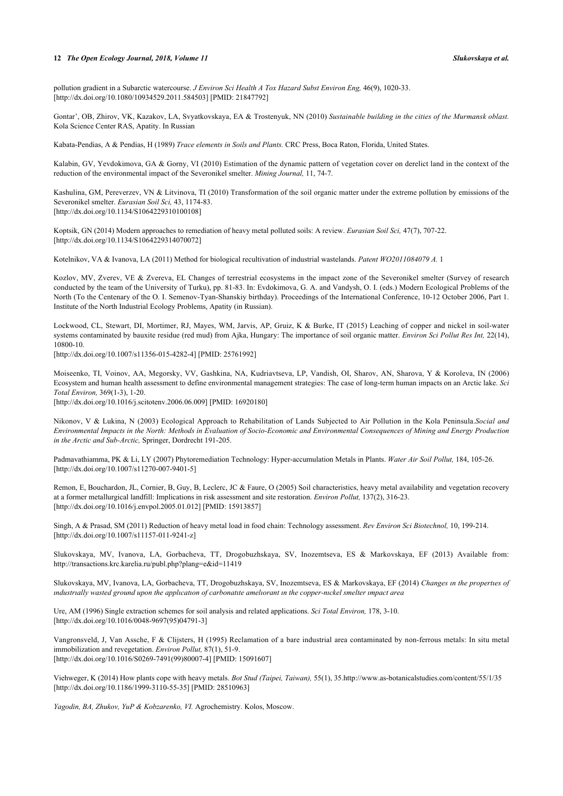#### **12** *The Open Ecology Journal, 2018, Volume 11 Slukovskaya et al.*

pollution gradient in a Subarctic watercourse. *J Environ Sci Health A Tox Hazard Subst Environ Eng,* 46(9), 1020-33. [\[http://dx.doi.org/10.1080/10934529.2011.584503\]](http://dx.doi.org/10.1080/10934529.2011.584503) [PMID: [21847792](http://www.ncbi.nlm.nih.gov/pubmed/21847792)]

<span id="page-11-0"></span>Gontar', OB, Zhirov, VK, Kazakov, LA, Svyatkovskaya, EA & Trostenyuk, NN (2010) *Sustainable building in the cities of the Murmansk oblast.* Kola Science Center RAS, Apatity. In Russian

<span id="page-11-2"></span><span id="page-11-1"></span>Kabata-Pendias, A & Pendias, H (1989) *Trace elements in Soils and Plants.* CRC Press, Boca Raton, Florida, United States.

Kalabin, GV, Yevdokimova, GA & Gorny, VI (2010) Estimation of the dynamic pattern of vegetation cover on derelict land in the context of the reduction of the environmental impact of the Severonikel smelter. *Mining Journal,* 11, 74-7.

<span id="page-11-8"></span>Kashulina, GM, Pereverzev, VN & Litvinova, TI (2010) Transformation of the soil organic matter under the extreme pollution by emissions of the Severonikel smelter. *Eurasian Soil Sci,* 43, 1174-83. [\[http://dx.doi.org/10.1134/S1064229310100108](http://dx.doi.org/10.1134/S1064229310100108)]

<span id="page-11-4"></span>Koptsik, GN (2014) Modern approaches to remediation of heavy metal polluted soils: A review. *Eurasian Soil Sci,* 47(7), 707-22. [\[http://dx.doi.org/10.1134/S1064229314070072](http://dx.doi.org/10.1134/S1064229314070072)]

<span id="page-11-6"></span><span id="page-11-5"></span>Kotelnikov, VA & Ivanova, LA (2011) Method for biological recultivation of industrial wastelands. *Patent WO2011084079 A.* 1

Kozlov, MV, Zverev, VE & Zvereva, EL Changes of terrestrial ecosystems in the impact zone of the Severonikel smelter (Survey of research conducted by the team of the University of Turku), pp. 81-83. In: Evdokimova, G. A. and Vandysh, O. I. (eds.) Modern Ecological Problems of the North (To the Centenary of the O. I. Semenov-Tyan-Shanskiy birthday). Proceedings of the International Conference, 10-12 October 2006, Part 1. Institute of the North Industrial Ecology Problems, Apatity (in Russian).

<span id="page-11-7"></span>Lockwood, CL, Stewart, DI, Mortimer, RJ, Mayes, WM, Jarvis, AP, Gruiz, K & Burke, IT (2015) Leaching of copper and nickel in soil-water systems contaminated by bauxite residue (red mud) from Ajka, Hungary: The importance of soil organic matter. *Environ Sci Pollut Res Int,* 22(14), 10800-10.

<span id="page-11-9"></span>[\[http://dx.doi.org/10.1007/s11356-015-4282-4\]](http://dx.doi.org/10.1007/s11356-015-4282-4) [PMID: [25761992](http://www.ncbi.nlm.nih.gov/pubmed/25761992)]

Moiseenko, TI, Voinov, AA, Megorsky, VV, Gashkina, NA, Kudriavtseva, LP, Vandish, OI, Sharov, AN, Sharova, Y & Koroleva, IN (2006) Ecosystem and human health assessment to define environmental management strategies: The case of long-term human impacts on an Arctic lake. *Sci Total Environ,* 369(1-3), 1-20.

<span id="page-11-3"></span>[\[http://dx.doi.org/10.1016/j.scitotenv.2006.06.009\]](http://dx.doi.org/10.1016/j.scitotenv.2006.06.009) [PMID: [16920180](http://www.ncbi.nlm.nih.gov/pubmed/16920180)]

Nikonov, V & Lukina, N (2003) Ecological Approach to Rehabilitation of Lands Subjected to Air Pollution in the Kola Peninsula.*Social and Environmental Impacts in the North: Methods in Evaluation of Socio-Economic and Environmental Consequences of Mining and Energy Production in the Arctic and Sub-Arctic,* Springer, Dordrecht 191-205.

<span id="page-11-10"></span>Padmavathiamma, PK & Li, LY (2007) Phytoremediation Technology: Hyper-accumulation Metals in Plants. *Water Air Soil Pollut,* 184, 105-26. [\[http://dx.doi.org/10.1007/s11270-007-9401-5\]](http://dx.doi.org/10.1007/s11270-007-9401-5)

<span id="page-11-11"></span>Remon, E, Bouchardon, JL, Cornier, B, Guy, B, Leclerc, JC & Faure, O (2005) Soil characteristics, heavy metal availability and vegetation recovery at a former metallurgical landfill: Implications in risk assessment and site restoration. *Environ Pollut,* 137(2), 316-23. [\[http://dx.doi.org/10.1016/j.envpol.2005.01.012\]](http://dx.doi.org/10.1016/j.envpol.2005.01.012) [PMID: [15913857](http://www.ncbi.nlm.nih.gov/pubmed/15913857)]

Singh, A & Prasad, SM (2011) Reduction of heavy metal load in food chain: Technology assessment. *Rev Environ Sci Biotechnol,* 10, 199-214. [\[http://dx.doi.org/10.1007/s11157-011-9241-z](http://dx.doi.org/10.1007/s11157-011-9241-z)]

Slukovskaya, MV, Ivanova, LA, Gorbacheva, TT, Drogobuzhskaya, SV, Inozemtseva, ES & Markovskaya, EF (2013) Available from: <http://transactions.krc.karelia.ru/publ.php?plang=e&id=11419>

<span id="page-11-12"></span>Slukovskaya, MV, Ivanova, LA, Gorbacheva, TT, Drogobuzhskaya, SV, Inozemtseva, ES & Markovskaya, EF (2014) *Changes ın the propertıes of ındustrıally wasted ground upon the applıcatıon of carbonatıte amelıorant ın the copper-nıckel smelter ımpact area*

<span id="page-11-13"></span>Ure, AM (1996) Single extraction schemes for soil analysis and related applications. *Sci Total Environ,* 178, 3-10. [\[http://dx.doi.org/10.1016/0048-9697\(95\)04791-3](http://dx.doi.org/10.1016/0048-9697(95)04791-3)]

<span id="page-11-14"></span>Vangronsveld, J, Van Assche, F & Clijsters, H (1995) Reclamation of a bare industrial area contaminated by non-ferrous metals: In situ metal immobilization and revegetation. *Environ Pollut,* 87(1), 51-9. [\[http://dx.doi.org/10.1016/S0269-7491\(99\)80007-4\]](http://dx.doi.org/10.1016/S0269-7491(99)80007-4) [PMID: [15091607](http://www.ncbi.nlm.nih.gov/pubmed/15091607)]

<span id="page-11-15"></span>Viehweger, K (2014) How plants cope with heavy metals. *Bot Stud (Taipei, Taiwan),* 55(1), 35[.http://www.as-botanicalstudies.com/content/55/1/35](http://www.as-botanicalstudies.com/content/55/1/35) [\[http://dx.doi.org/10.1186/1999-3110-55-35\]](http://dx.doi.org/10.1186/1999-3110-55-35) [PMID: [28510963](http://www.ncbi.nlm.nih.gov/pubmed/28510963)]

*Yagodin, BA, Zhukov, YuP & Kobzarenko, VI.* Agrochemistry. Kolos, Moscow.